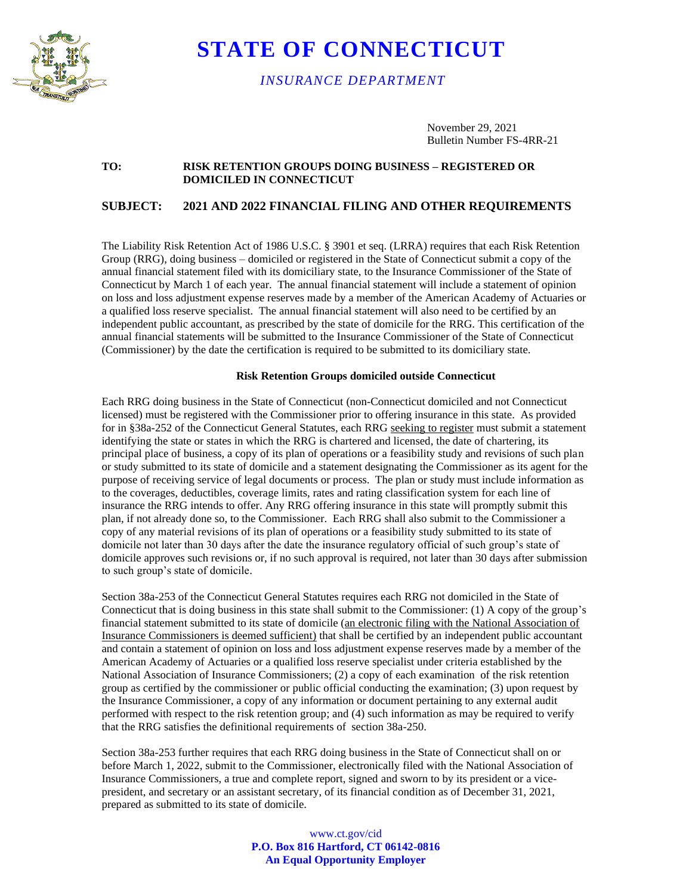

# **STATE OF CONNECTICUT**

*INSURANCE DEPARTMENT*

November 29, 2021 Bulletin Number FS-4RR-21

### **TO: RISK RETENTION GROUPS DOING BUSINESS – REGISTERED OR DOMICILED IN CONNECTICUT**

## **SUBJECT: 2021 AND 2022 FINANCIAL FILING AND OTHER REQUIREMENTS**

The Liability Risk Retention Act of 1986 U.S.C. § 3901 et seq. (LRRA) requires that each Risk Retention Group (RRG), doing business – domiciled or registered in the State of Connecticut submit a copy of the annual financial statement filed with its domiciliary state, to the Insurance Commissioner of the State of Connecticut by March 1 of each year. The annual financial statement will include a statement of opinion on loss and loss adjustment expense reserves made by a member of the American Academy of Actuaries or a qualified loss reserve specialist. The annual financial statement will also need to be certified by an independent public accountant, as prescribed by the state of domicile for the RRG. This certification of the annual financial statements will be submitted to the Insurance Commissioner of the State of Connecticut (Commissioner) by the date the certification is required to be submitted to its domiciliary state.

#### **Risk Retention Groups domiciled outside Connecticut**

Each RRG doing business in the State of Connecticut (non-Connecticut domiciled and not Connecticut licensed) must be registered with the Commissioner prior to offering insurance in this state. As provided for in §38a-252 of the Connecticut General Statutes, each RRG seeking to register must submit a statement identifying the state or states in which the RRG is chartered and licensed, the date of chartering, its principal place of business, a copy of its plan of operations or a feasibility study and revisions of such plan or study submitted to its state of domicile and a statement designating the Commissioner as its agent for the purpose of receiving service of legal documents or process. The plan or study must include information as to the coverages, deductibles, coverage limits, rates and rating classification system for each line of insurance the RRG intends to offer. Any RRG offering insurance in this state will promptly submit this plan, if not already done so, to the Commissioner. Each RRG shall also submit to the Commissioner a copy of any material revisions of its plan of operations or a feasibility study submitted to its state of domicile not later than 30 days after the date the insurance regulatory official of such group's state of domicile approves such revisions or, if no such approval is required, not later than 30 days after submission to such group's state of domicile.

Section 38a-253 of the Connecticut General Statutes requires each RRG not domiciled in the State of Connecticut that is doing business in this state shall submit to the Commissioner: (1) A copy of the group's financial statement submitted to its state of domicile (an electronic filing with the National Association of Insurance Commissioners is deemed sufficient) that shall be certified by an independent public accountant and contain a statement of opinion on loss and loss adjustment expense reserves made by a member of the American Academy of Actuaries or a qualified loss reserve specialist under criteria established by the National Association of Insurance Commissioners; (2) a copy of each examination of the risk retention group as certified by the commissioner or public official conducting the examination; (3) upon request by the Insurance Commissioner, a copy of any information or document pertaining to any external audit performed with respect to the risk retention group; and (4) such information as may be required to verify that the RRG satisfies the definitional requirements of section 38a-250.

Section 38a-253 further requires that each RRG doing business in the State of Connecticut shall on or before March 1, 2022, submit to the Commissioner, electronically filed with the National Association of Insurance Commissioners, a true and complete report, signed and sworn to by its president or a vicepresident, and secretary or an assistant secretary, of its financial condition as of December 31, 2021, prepared as submitted to its state of domicile.

> www.ct.gov/cid **P.O. Box 816 Hartford, CT 06142-0816 An Equal Opportunity Employer**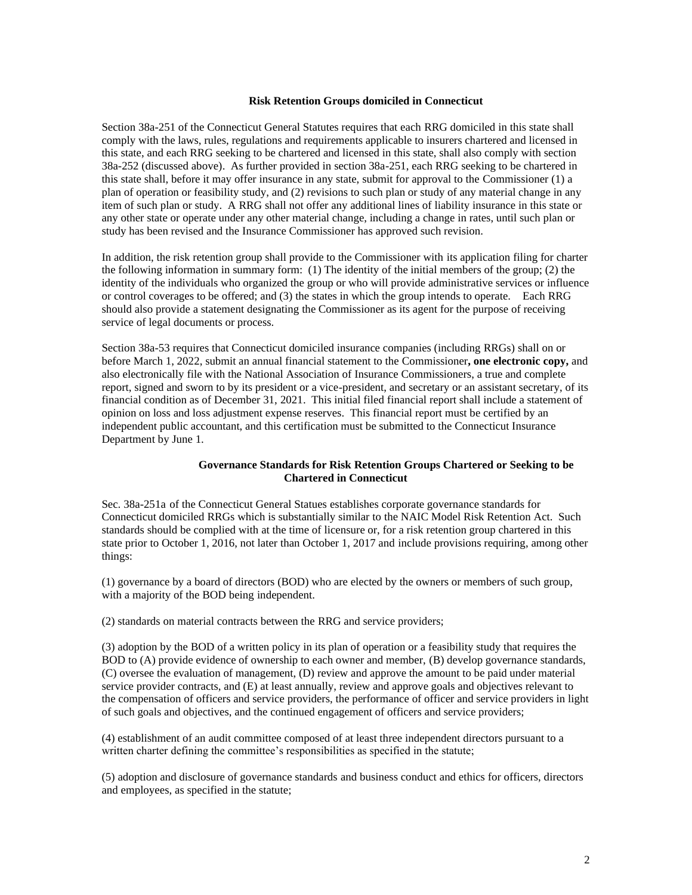#### **Risk Retention Groups domiciled in Connecticut**

Section 38a-251 of the Connecticut General Statutes requires that each RRG domiciled in this state shall comply with the laws, rules, regulations and requirements applicable to insurers chartered and licensed in this state, and each RRG seeking to be chartered and licensed in this state, shall also comply with section 38a-252 (discussed above). As further provided in section 38a-251, each RRG seeking to be chartered in this state shall, before it may offer insurance in any state, submit for approval to the Commissioner (1) a plan of operation or feasibility study, and (2) revisions to such plan or study of any material change in any item of such plan or study. A RRG shall not offer any additional lines of liability insurance in this state or any other state or operate under any other material change, including a change in rates, until such plan or study has been revised and the Insurance Commissioner has approved such revision.

In addition, the risk retention group shall provide to the Commissioner with its application filing for charter the following information in summary form: (1) The identity of the initial members of the group; (2) the identity of the individuals who organized the group or who will provide administrative services or influence or control coverages to be offered; and (3) the states in which the group intends to operate. Each RRG should also provide a statement designating the Commissioner as its agent for the purpose of receiving service of legal documents or process.

Section 38a-53 requires that Connecticut domiciled insurance companies (including RRGs) shall on or before March 1, 2022, submit an annual financial statement to the Commissioner**, one electronic copy,** and also electronically file with the National Association of Insurance Commissioners, a true and complete report, signed and sworn to by its president or a vice-president, and secretary or an assistant secretary, of its financial condition as of December 31, 2021. This initial filed financial report shall include a statement of opinion on loss and loss adjustment expense reserves. This financial report must be certified by an independent public accountant, and this certification must be submitted to the Connecticut Insurance Department by June 1.

### **Governance Standards for Risk Retention Groups Chartered or Seeking to be Chartered in Connecticut**

Sec. 38a-251a of the Connecticut General Statues establishes corporate governance standards for Connecticut domiciled RRGs which is substantially similar to the NAIC Model Risk Retention Act. Such standards should be complied with at the time of licensure or, for a risk retention group chartered in this state prior to October 1, 2016, not later than October 1, 2017 and include provisions requiring, among other things:

(1) governance by a board of directors (BOD) who are elected by the owners or members of such group, with a majority of the BOD being independent.

(2) standards on material contracts between the RRG and service providers;

(3) adoption by the BOD of a written policy in its plan of operation or a feasibility study that requires the BOD to (A) provide evidence of ownership to each owner and member, (B) develop governance standards, (C) oversee the evaluation of management, (D) review and approve the amount to be paid under material service provider contracts, and (E) at least annually, review and approve goals and objectives relevant to the compensation of officers and service providers, the performance of officer and service providers in light of such goals and objectives, and the continued engagement of officers and service providers;

(4) establishment of an audit committee composed of at least three independent directors pursuant to a written charter defining the committee's responsibilities as specified in the statute;

(5) adoption and disclosure of governance standards and business conduct and ethics for officers, directors and employees, as specified in the statute;